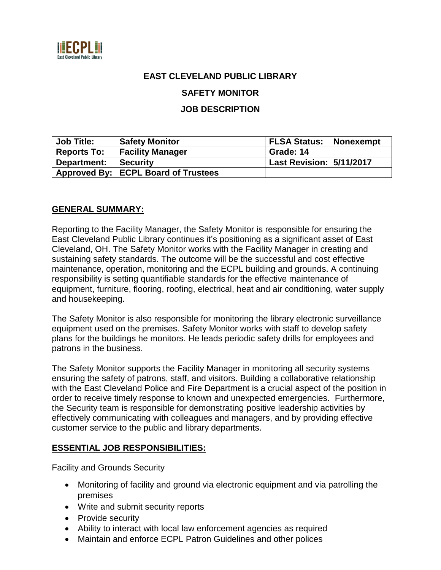

## **EAST CLEVELAND PUBLIC LIBRARY**

**SAFETY MONITOR**

#### **JOB DESCRIPTION**

| <b>Job Title:</b>  | <b>Safety Monitor</b>                      | <b>FLSA Status: Nonexempt</b> |
|--------------------|--------------------------------------------|-------------------------------|
| <b>Reports To:</b> | <b>Facility Manager</b>                    | Grade: 14                     |
| Department:        | <b>Security</b>                            | Last Revision: 5/11/2017      |
|                    | <b>Approved By: ECPL Board of Trustees</b> |                               |

#### **GENERAL SUMMARY:**

Reporting to the Facility Manager, the Safety Monitor is responsible for ensuring the East Cleveland Public Library continues it's positioning as a significant asset of East Cleveland, OH. The Safety Monitor works with the Facility Manager in creating and sustaining safety standards. The outcome will be the successful and cost effective maintenance, operation, monitoring and the ECPL building and grounds. A continuing responsibility is setting quantifiable standards for the effective maintenance of equipment, furniture, flooring, roofing, electrical, heat and air conditioning, water supply and housekeeping.

The Safety Monitor is also responsible for monitoring the library electronic surveillance equipment used on the premises. Safety Monitor works with staff to develop safety plans for the buildings he monitors. He leads periodic safety drills for employees and patrons in the business.

The Safety Monitor supports the Facility Manager in monitoring all security systems ensuring the safety of patrons, staff, and visitors. Building a collaborative relationship with the East Cleveland Police and Fire Department is a crucial aspect of the position in order to receive timely response to known and unexpected emergencies. Furthermore, the Security team is responsible for demonstrating positive leadership activities by effectively communicating with colleagues and managers, and by providing effective customer service to the public and library departments.

#### **ESSENTIAL JOB RESPONSIBILITIES:**

Facility and Grounds Security

- Monitoring of facility and ground via electronic equipment and via patrolling the premises
- Write and submit security reports
- Provide security
- Ability to interact with local law enforcement agencies as required
- Maintain and enforce ECPL Patron Guidelines and other polices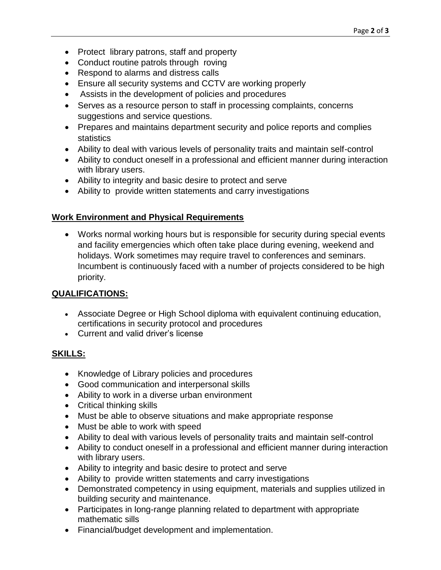- Protect library patrons, staff and property
- Conduct routine patrols through roving
- Respond to alarms and distress calls
- Ensure all security systems and CCTV are working properly
- Assists in the development of policies and procedures
- Serves as a resource person to staff in processing complaints, concerns suggestions and service questions.
- Prepares and maintains department security and police reports and complies statistics
- Ability to deal with various levels of personality traits and maintain self-control
- Ability to conduct oneself in a professional and efficient manner during interaction with library users.
- Ability to integrity and basic desire to protect and serve
- Ability to provide written statements and carry investigations

## **Work Environment and Physical Requirements**

 Works normal working hours but is responsible for security during special events and facility emergencies which often take place during evening, weekend and holidays. Work sometimes may require travel to conferences and seminars. Incumbent is continuously faced with a number of projects considered to be high priority.

# **QUALIFICATIONS:**

- Associate Degree or High School diploma with equivalent continuing education, certifications in security protocol and procedures
- Current and valid driver's license

# **SKILLS:**

- Knowledge of Library policies and procedures
- Good communication and interpersonal skills
- Ability to work in a diverse urban environment
- Critical thinking skills
- Must be able to observe situations and make appropriate response
- Must be able to work with speed
- Ability to deal with various levels of personality traits and maintain self-control
- Ability to conduct oneself in a professional and efficient manner during interaction with library users.
- Ability to integrity and basic desire to protect and serve
- Ability to provide written statements and carry investigations
- Demonstrated competency in using equipment, materials and supplies utilized in building security and maintenance.
- Participates in long-range planning related to department with appropriate mathematic sills
- Financial/budget development and implementation.